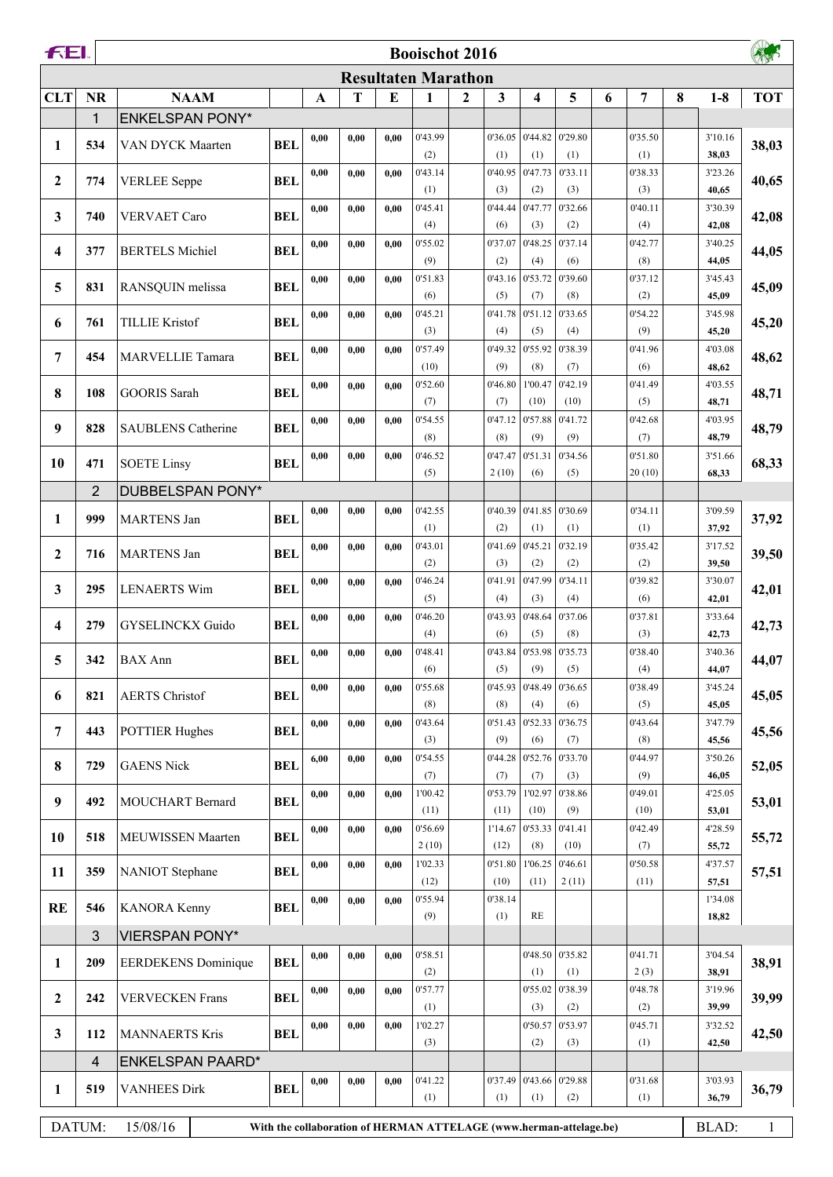| FEI.             |                |                            |            |              |      |           | <b>Booischot 2016</b>                                              |              |                 |                 |                          |   |                 |   |                  |              |
|------------------|----------------|----------------------------|------------|--------------|------|-----------|--------------------------------------------------------------------|--------------|-----------------|-----------------|--------------------------|---|-----------------|---|------------------|--------------|
|                  |                |                            |            |              |      |           | <b>Resultaten Marathon</b>                                         |              |                 |                 |                          |   |                 |   |                  |              |
| <b>CLT</b>       | <b>NR</b>      | <b>NAAM</b>                |            | $\mathbf{A}$ | T    | ${\bf E}$ | $\mathbf{1}$                                                       | $\mathbf{2}$ | 3               | 4               | 5                        | 6 | 7               | 8 | $1-8$            | <b>TOT</b>   |
|                  | 1              | <b>ENKELSPAN PONY*</b>     |            |              |      |           |                                                                    |              |                 |                 |                          |   |                 |   |                  |              |
| 1                | 534            | VAN DYCK Maarten           | <b>BEL</b> | 0,00         | 0.00 | 0.00      | 0'43.99<br>(2)                                                     |              | 0'36.05<br>(1)  | (1)             | $0'44.82$ 0'29.80<br>(1) |   | 0'35.50<br>(1)  |   | 3'10.16<br>38,03 | 38,03        |
|                  |                |                            |            | 0,00         | 0,00 | 0,00      | 0'43.14                                                            |              | 0'40.95         | 0'47.73         | 0'33.11                  |   | 0'38.33         |   | 3'23.26          |              |
| $\boldsymbol{2}$ | 774            | <b>VERLEE</b> Seppe        | <b>BEL</b> |              |      |           | (1)                                                                |              | (3)             | (2)             | (3)                      |   | (3)             |   | 40,65            | 40,65        |
| 3                | 740            | <b>VERVAET Caro</b>        | <b>BEL</b> | 0,00         | 0.00 | 0.00      | 0'45.41                                                            |              | 0'44.44         | 0'47.77         | 0'32.66                  |   | 0'40.11         |   | 3'30.39          | 42,08        |
|                  |                |                            |            |              |      |           | (4)                                                                |              | (6)             | (3)             | (2)                      |   | (4)             |   | 42,08            |              |
| 4                | 377            | <b>BERTELS Michiel</b>     | <b>BEL</b> | 0,00         | 0,00 | 0.00      | 0'55.02<br>(9)                                                     |              | 0'37.07<br>(2)  | 0'48.25<br>(4)  | 0'37.14<br>(6)           |   | 0'42.77<br>(8)  |   | 3'40.25          | 44,05        |
|                  |                |                            |            | 0,00         | 0,00 | 0,00      | 0'51.83                                                            |              | 0'43.16         | 0'53.72         | 0'39.60                  |   | 0'37.12         |   | 44,05<br>3'45.43 |              |
| 5                | 831            | RANSQUIN melissa           | <b>BEL</b> |              |      |           | (6)                                                                |              | (5)             | (7)             | (8)                      |   | (2)             |   | 45,09            | 45,09        |
| 6                | 761            | <b>TILLIE Kristof</b>      | <b>BEL</b> | 0,00         | 0,00 | 0,00      | 0'45.21                                                            |              | 0'41.78         | 0'51.12         | 0'33.65                  |   | 0'54.22         |   | 3'45.98          | 45,20        |
|                  |                |                            |            |              |      |           | (3)                                                                |              | (4)             | (5)             | (4)                      |   | (9)             |   | 45,20            |              |
| 7                | 454            | <b>MARVELLIE Tamara</b>    | <b>BEL</b> | 0,00         | 0,00 | 0,00      | 0'57.49<br>(10)                                                    |              | 0'49.32<br>(9)  | 0'55.92<br>(8)  | 0'38.39                  |   | 0'41.96<br>(6)  |   | 4'03.08          | 48,62        |
|                  |                |                            |            | 0,00         | 0,00 | 0,00      | 0'52.60                                                            |              | 0'46.80         | 1'00.47         | (7)<br>0'42.19           |   | 0'41.49         |   | 48,62<br>4'03.55 |              |
| 8                | 108            | <b>GOORIS</b> Sarah        | <b>BEL</b> |              |      |           | (7)                                                                |              | (7)             | (10)            | (10)                     |   | (5)             |   | 48,71            | 48,71        |
| 9                | 828            | <b>SAUBLENS Catherine</b>  | <b>BEL</b> | 0,00         | 0,00 | 0,00      | 0'54.55                                                            |              | 0'47.12         | 0'57.88         | 0'41.72                  |   | 0'42.68         |   | 4'03.95          | 48,79        |
|                  |                |                            |            |              |      |           | (8)                                                                |              | (8)             | (9)             | (9)                      |   | (7)             |   | 48,79            |              |
| 10               | 471            | <b>SOETE Linsy</b>         | <b>BEL</b> | 0,00         | 0.00 | 0.00      | 0'46.52                                                            |              | 0'47.47         | 0'51.31         | 0'34.56                  |   | 0'51.80         |   | 3'51.66          | 68,33        |
|                  | $\overline{2}$ | <b>DUBBELSPAN PONY*</b>    |            |              |      |           | (5)                                                                |              | 2(10)           | (6)             | (5)                      |   | 20(10)          |   | 68,33            |              |
|                  |                |                            |            | 0,00         | 0.00 | 0,00      | 0'42.55                                                            |              | 0'40.39         |                 | 0'41.85 0'30.69          |   | 0'34.11         |   | 3'09.59          |              |
| 1                | 999            | <b>MARTENS Jan</b>         | <b>BEL</b> |              |      |           | (1)                                                                |              | (2)             | (1)             | (1)                      |   | (1)             |   | 37,92            | 37,92        |
| $\boldsymbol{2}$ | 716            | <b>MARTENS Jan</b>         | <b>BEL</b> | 0,00         | 0,00 | 0,00      | 0'43.01                                                            |              | 0'41.69         | 0'45.21         | 0'32.19                  |   | 0'35.42         |   | 3'17.52          | 39,50        |
|                  |                |                            |            |              |      |           | (2)                                                                |              | (3)             | (2)             | (2)                      |   | (2)             |   | 39,50            |              |
| 3                | 295            | <b>LENAERTS Wim</b>        | <b>BEL</b> | 0,00         | 0.00 | 0.00      | 0'46.24<br>(5)                                                     |              | 0'41.91<br>(4)  | 0'47.99<br>(3)  | 0'34.11<br>(4)           |   | 0'39.82<br>(6)  |   | 3'30.07<br>42,01 | 42,01        |
|                  |                |                            |            | 0,00         | 0,00 | 0.00      | 0'46.20                                                            |              | 0'43.93         | 0'48.64         | 0'37.06                  |   | 0'37.81         |   | 3'33.64          |              |
| 4                | 279            | <b>GYSELINCKX Guido</b>    | <b>BEL</b> |              |      |           | (4)                                                                |              | (6)             | (5)             | (8)                      |   | (3)             |   | 42,73            | 42,73        |
| 5                | 342            | <b>BAX</b> Ann             | <b>BEL</b> | 0,00         | 0,00 | 0,00      | 0'48.41                                                            |              |                 |                 | 0'43.84 0'53.98 0'35.73  |   | 0'38.40         |   | 3'40.36          | 44,07        |
|                  |                |                            |            |              |      |           | (6)                                                                |              | (5)             | (9)             | (5)                      |   | (4)             |   | 44,07            |              |
| 6                | 821            | <b>AERTS Christof</b>      | <b>BEL</b> | 0,00         | 0,00 | 0,00      | 0'55.68<br>(8)                                                     |              | 0'45.93<br>(8)  | 0'48.49<br>(4)  | 0'36.65<br>(6)           |   | 0'38.49<br>(5)  |   | 3'45.24<br>45,05 | 45,05        |
|                  |                |                            |            | 0,00         | 0,00 | 0,00      | 0'43.64                                                            |              | 0'51.43         | 0'52.33         | 0'36.75                  |   | 0'43.64         |   | 3'47.79          |              |
| 7                | 443            | <b>POTTIER Hughes</b>      | <b>BEL</b> |              |      |           | (3)                                                                |              | (9)             | (6)             | (7)                      |   | (8)             |   | 45,56            | 45,56        |
| $\bf{8}$         | 729            | <b>GAENS Nick</b>          | <b>BEL</b> | 6,00         | 0.00 | 0,00      | 0'54.55                                                            |              | 0'44.28         | 0'52.76         | 0'33.70                  |   | 0'44.97         |   | 3'50.26          | 52,05        |
|                  |                |                            |            |              |      |           | (7)                                                                |              | (7)             | (7)             | (3)                      |   | (9)             |   | 46,05            |              |
| $\boldsymbol{9}$ | 492            | MOUCHART Bernard           | <b>BEL</b> | 0,00         | 0,00 | 0,00      | 1'00.42<br>(11)                                                    |              | 0'53.79<br>(11) | 1'02.97<br>(10) | 0'38.86<br>(9)           |   | 0'49.01<br>(10) |   | 4'25.05<br>53,01 | 53,01        |
|                  |                |                            |            | 0,00         | 0,00 | 0,00      | 0'56.69                                                            |              | 1'14.67         | 0'53.33         | 0'41.41                  |   | 0'42.49         |   | 4'28.59          |              |
| 10               | 518            | MEUWISSEN Maarten          | <b>BEL</b> |              |      |           | 2(10)                                                              |              | (12)            | (8)             | (10)                     |   | (7)             |   | 55,72            | 55,72        |
| 11               | 359            | <b>NANIOT</b> Stephane     | <b>BEL</b> | 0,00         | 0,00 | 0,00      | 1'02.33                                                            |              | 0'51.80         | 1'06.25         | 0'46.61                  |   | 0'50.58         |   | 4'37.57          | 57,51        |
|                  |                |                            |            |              |      |           | (12)                                                               |              | (10)            | (11)            | 2(11)                    |   | (11)            |   | 57,51            |              |
| <b>RE</b>        | 546            | <b>KANORA Kenny</b>        | <b>BEL</b> | 0,00         | 0,00 | 0,00      | 0'55.94<br>(9)                                                     |              | 0'38.14<br>(1)  | RE              |                          |   |                 |   | 1'34.08<br>18,82 |              |
|                  | 3              | <b>VIERSPAN PONY*</b>      |            |              |      |           |                                                                    |              |                 |                 |                          |   |                 |   |                  |              |
|                  |                |                            |            | 0,00         | 0,00 | 0,00      | 0'58.51                                                            |              |                 |                 | 0'48.50 0'35.82          |   | 0'41.71         |   | 3'04.54          |              |
| $\mathbf{1}$     | 209            | <b>EERDEKENS</b> Dominique | <b>BEL</b> |              |      |           | (2)                                                                |              |                 | (1)             | (1)                      |   | 2(3)            |   | 38,91            | 38,91        |
| $\boldsymbol{2}$ | 242            | <b>VERVECKEN Frans</b>     | <b>BEL</b> | 0,00         | 0,00 | 0,00      | 0'57.77                                                            |              |                 | 0'55.02         | 0'38.39                  |   | 0'48.78         |   | 3'19.96          | 39,99        |
|                  |                |                            |            | 0.00         | 0,00 | 0,00      | (1)<br>1'02.27                                                     |              |                 | (3)<br>0'50.57  | (2)<br>0'53.97           |   | (2)<br>0'45.71  |   | 39,99<br>3'32.52 |              |
| 3                | 112            | <b>MANNAERTS Kris</b>      | <b>BEL</b> |              |      |           | (3)                                                                |              |                 | (2)             | (3)                      |   | (1)             |   | 42,50            | 42,50        |
|                  | 4              | <b>ENKELSPAN PAARD*</b>    |            |              |      |           |                                                                    |              |                 |                 |                          |   |                 |   |                  |              |
| 1                | 519            | <b>VANHEES Dirk</b>        | <b>BEL</b> | 0,00         | 0,00 | 0,00      | 0'41.22                                                            |              | 0'37.49         |                 | $0'43.66$ 0'29.88        |   | 0'31.68         |   | 3'03.93          | 36,79        |
|                  |                |                            |            |              |      |           | (1)                                                                |              | (1)             | (1)             | (2)                      |   | (1)             |   | 36,79            |              |
|                  | DATUM:         | 15/08/16                   |            |              |      |           | With the collaboration of HERMAN ATTELAGE (www.herman-attelage.be) |              |                 |                 |                          |   |                 |   | BLAD:            | $\mathbf{1}$ |
|                  |                |                            |            |              |      |           |                                                                    |              |                 |                 |                          |   |                 |   |                  |              |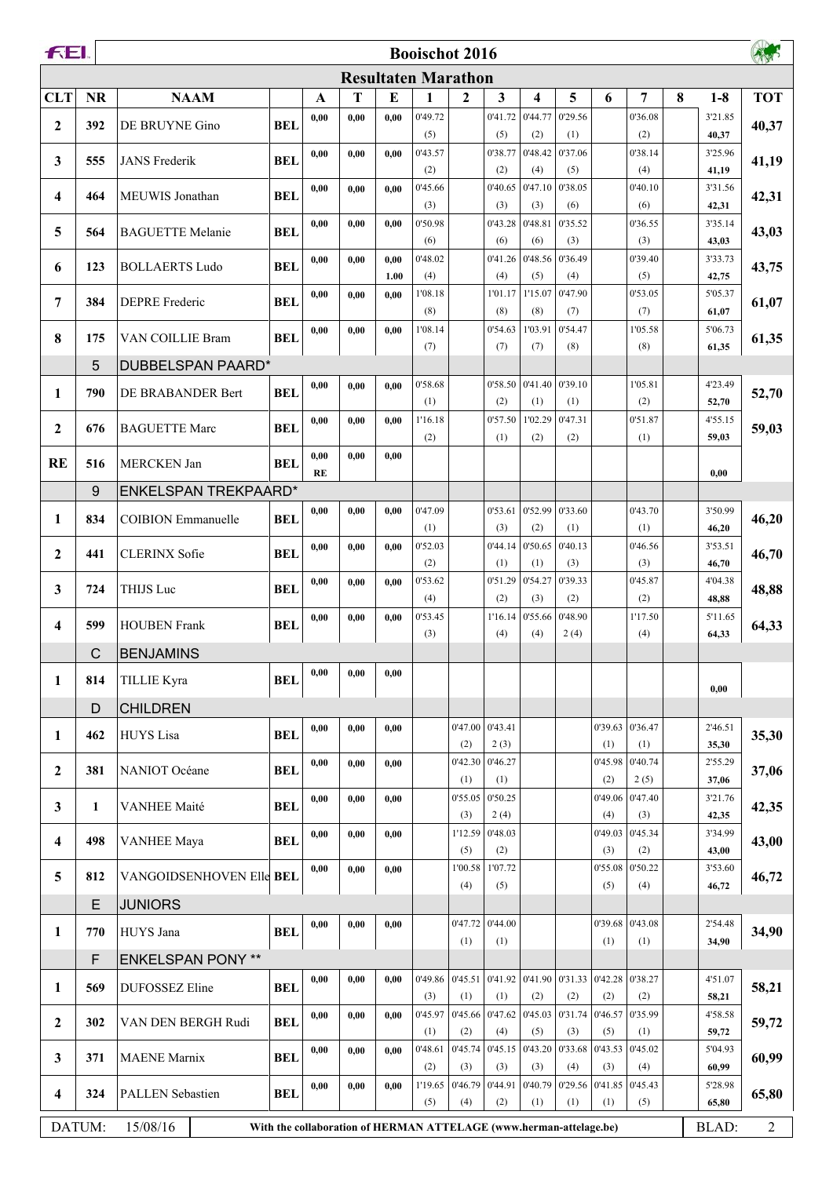| FEI.             |              | <b>Booischot 2016</b>     |            |      |                                                                    |              |                            |                |                   |                                                   |                   |                |                 |   |                  |            |
|------------------|--------------|---------------------------|------------|------|--------------------------------------------------------------------|--------------|----------------------------|----------------|-------------------|---------------------------------------------------|-------------------|----------------|-----------------|---|------------------|------------|
|                  |              |                           |            |      |                                                                    |              | <b>Resultaten Marathon</b> |                |                   |                                                   |                   |                |                 |   |                  |            |
| <b>CLT</b>       | <b>NR</b>    | <b>NAAM</b>               |            | A    | T                                                                  | E            | $\mathbf{1}$               | $\mathbf{2}$   | 3                 | 4                                                 | 5                 | 6              | 7               | 8 | $1-8$            | <b>TOT</b> |
| $\mathbf{2}$     | 392          | DE BRUYNE Gino            | <b>BEL</b> | 0,00 | 0,00                                                               | 0,00         | 0'49.72                    |                | 0'41.72           | 0'44.77                                           | 0'29.56           |                | 0'36.08         |   | 3'21.85          | 40,37      |
|                  |              |                           |            | 0,00 | 0,00                                                               | 0.00         | (5)<br>0'43.57             |                | (5)<br>0'38.77    | (2)<br>0'48.42                                    | (1)<br>0'37.06    |                | (2)<br>0'38.14  |   | 40,37<br>3'25.96 |            |
| 3                | 555          | <b>JANS</b> Frederik      | <b>BEL</b> |      |                                                                    |              | (2)                        |                | (2)               | (4)                                               | (5)               |                | (4)             |   | 41,19            | 41,19      |
| 4                | 464          | MEUWIS Jonathan           | <b>BEL</b> | 0,00 | 0,00                                                               | 0.00         | 0'45.66                    |                | 0'40.65           | 0'47.10                                           | 0'38.05           |                | 0'40.10         |   | 3'31.56          | 42,31      |
|                  |              |                           |            | 0,00 | 0,00                                                               | 0,00         | (3)<br>0'50.98             |                | (3)<br>0'43.28    | (3)<br>0'48.81                                    | (6)<br>0'35.52    |                | (6)<br>0'36.55  |   | 42,31<br>3'35.14 |            |
| 5                | 564          | <b>BAGUETTE Melanie</b>   | <b>BEL</b> |      |                                                                    |              | (6)                        |                | (6)               | (6)                                               | (3)               |                | (3)             |   | 43,03            | 43,03      |
| 6                | 123          | <b>BOLLAERTS Ludo</b>     | <b>BEL</b> | 0,00 | 0,00                                                               | 0.00         | 0'48.02                    |                | 0'41.26           | 0'48.56                                           | 0'36.49           |                | 0'39.40         |   | 3'33.73          | 43,75      |
|                  |              |                           |            | 0,00 | 0,00                                                               | 1.00<br>0,00 | (4)<br>1'08.18             |                | (4)<br>1'01.17    | (5)<br>1'15.07                                    | (4)<br>0'47.90    |                | (5)<br>0'53.05  |   | 42,75<br>5'05.37 |            |
| 7                | 384          | <b>DEPRE</b> Frederic     | <b>BEL</b> |      |                                                                    |              | (8)                        |                | (8)               | (8)                                               | (7)               |                | (7)             |   | 61,07            | 61,07      |
| 8                | 175          | VAN COILLIE Bram          | <b>BEL</b> | 0.00 | 0,00                                                               | 0.00         | 1'08.14                    |                | 0'54.63           | 1'03.91                                           | 0'54.47           |                | 1'05.58         |   | 5'06.73          | 61,35      |
|                  |              |                           |            |      |                                                                    |              | (7)                        |                | (7)               | (7)                                               | (8)               |                | (8)             |   | 61,35            |            |
|                  | 5            | <b>DUBBELSPAN PAARD*</b>  |            | 0,00 | 0,00                                                               | 0.00         | 0'58.68                    |                |                   | $0'58.50$   $0'41.40$   $0'39.10$                 |                   |                | 1'05.81         |   | 4'23.49          |            |
| 1                | 790          | DE BRABANDER Bert         | <b>BEL</b> |      |                                                                    |              | (1)                        |                | (2)               | (1)                                               | (1)               |                | (2)             |   | 52,70            | 52,70      |
| $\mathbf{2}$     | 676          | <b>BAGUETTE Marc</b>      | <b>BEL</b> | 0,00 | 0,00                                                               | 0,00         | 1'16.18                    |                | 0'57.50           | 1'02.29                                           | 0'47.31           |                | 0'51.87         |   | 4'55.15          | 59,03      |
|                  |              |                           |            | 0,00 | 0,00                                                               | 0,00         | (2)                        |                | (1)               | (2)                                               | (2)               |                | (1)             |   | 59,03            |            |
| <b>RE</b>        | 516          | <b>MERCKEN Jan</b>        | <b>BEL</b> | RE   |                                                                    |              |                            |                |                   |                                                   |                   |                |                 |   | 0,00             |            |
|                  | 9            | ENKELSPAN TREKPAARD*      |            |      |                                                                    |              |                            |                |                   |                                                   |                   |                |                 |   |                  |            |
| 1                | 834          | <b>COIBION</b> Emmanuelle | <b>BEL</b> | 0,00 | 0,00                                                               | 0,00         | 0'47.09                    |                | 0'53.61           |                                                   | $0'52.99$ 0'33.60 |                | 0'43.70         |   | 3'50.99          | 46,20      |
|                  |              |                           |            | 0,00 | 0,00                                                               | 0,00         | (1)<br>0'52.03             |                | (3)<br>0'44.14    | (2)<br>0'50.65                                    | (1)<br>0'40.13    |                | (1)<br>0'46.56  |   | 46,20<br>3'53.51 |            |
| $\mathbf{2}$     | 441          | <b>CLERINX Sofie</b>      | <b>BEL</b> |      |                                                                    |              | (2)                        |                | (1)               | (1)                                               | (3)               |                | (3)             |   | 46,70            | 46,70      |
| 3                | 724          | THIJS Luc                 | <b>BEL</b> | 0,00 | 0,00                                                               | 0,00         | 0'53.62                    |                | 0'51.29           | 0'54.27                                           | 0'39.33           |                | 0'45.87         |   | 4'04.38          | 48,88      |
|                  |              |                           |            |      |                                                                    |              | (4)                        |                | (2)               | (3)                                               | (2)               |                | (2)             |   | 48,88            |            |
| 4                | 599          | <b>HOUBEN</b> Frank       | <b>BEL</b> | 0,00 | 0,00                                                               | 0,00         | 0'53.45<br>(3)             |                | 1'16.14<br>(4)    | 0'55.66<br>(4)                                    | 0'48.90<br>2(4)   |                | 1'17.50<br>(4)  |   | 5'11.65<br>64,33 | 64,33      |
|                  | $\mathsf{C}$ | <b>BENJAMINS</b>          |            |      |                                                                    |              |                            |                |                   |                                                   |                   |                |                 |   |                  |            |
| 1                | 814          | <b>TILLIE Kyra</b>        | <b>BEL</b> | 0,00 | 0.00                                                               | 0.00         |                            |                |                   |                                                   |                   |                |                 |   |                  |            |
|                  | $\mathsf{D}$ | <b>CHILDREN</b>           |            |      |                                                                    |              |                            |                |                   |                                                   |                   |                |                 |   | 0,00             |            |
|                  |              |                           |            | 0,00 | 0,00                                                               | 0,00         |                            |                | $0'47.00$ 0'43.41 |                                                   |                   |                | 0'39.63 0'36.47 |   | 2'46.51          |            |
| 1                | 462          | <b>HUYS</b> Lisa          | <b>BEL</b> |      |                                                                    |              |                            | (2)            | 2(3)              |                                                   |                   | (1)            | (1)             |   | 35,30            | 35,30      |
| $\boldsymbol{2}$ | 381          | NANIOT Océane             | <b>BEL</b> | 0,00 | 0,00                                                               | 0.00         |                            | 0'42.30        | 0'46.27           |                                                   |                   | 0'45.98        | 0'40.74         |   | 2'55.29          | 37,06      |
|                  |              |                           |            | 0,00 | 0,00                                                               | 0,00         |                            | (1)<br>0'55.05 | (1)<br>0'50.25    |                                                   |                   | (2)<br>0'49.06 | 2(5)<br>0'47.40 |   | 37,06<br>3'21.76 |            |
| 3                | 1            | <b>VANHEE Maité</b>       | <b>BEL</b> |      |                                                                    |              |                            | (3)            | 2(4)              |                                                   |                   | (4)            | (3)             |   | 42,35            | 42,35      |
| 4                | 498          | <b>VANHEE Maya</b>        | <b>BEL</b> | 0,00 | 0,00                                                               | 0,00         |                            | 1'12.59        | 0'48.03           |                                                   |                   | 0'49.03        | 0'45.34         |   | 3'34.99          | 43,00      |
|                  |              |                           |            | 0,00 | 0.00                                                               | 0.00         |                            | (5)<br>1'00.58 | (2)<br>1'07.72    |                                                   |                   | (3)<br>0'55.08 | (2)<br>0'50.22  |   | 43,00<br>3'53.60 |            |
| 5                | 812          | VANGOIDSENHOVEN Elle BEL  |            |      |                                                                    |              |                            | (4)            | (5)               |                                                   |                   | (5)            | (4)             |   | 46,72            | 46,72      |
|                  | E            | <b>JUNIORS</b>            |            |      |                                                                    |              |                            |                |                   |                                                   |                   |                |                 |   |                  |            |
| 1                | 770          | HUYS Jana                 | <b>BEL</b> | 0,00 | 0.00                                                               | 0,00         |                            | 0'47.72        | 0'44.00           |                                                   |                   | 0'39.68        | 0'43.08         |   | 2'54.48          | 34,90      |
|                  | F            | <b>ENKELSPAN PONY **</b>  |            |      |                                                                    |              |                            | (1)            | (1)               |                                                   |                   | (1)            | (1)             |   | 34,90            |            |
|                  |              |                           |            | 0,00 | 0,00                                                               | 0.00         | 0'49.86                    |                |                   | $0'45.51$ $0'41.92$ $0'41.90$ $0'31.33$ $0'42.28$ |                   |                | 0'38.27         |   | 4'51.07          |            |
| 1                | 569          | DUFOSSEZ Eline            | <b>BEL</b> |      |                                                                    |              | (3)                        | (1)            | (1)               | (2)                                               | (2)               | (2)            | (2)             |   | 58,21            | 58,21      |
| $\boldsymbol{2}$ | 302          | VAN DEN BERGH Rudi        | <b>BEL</b> | 0,00 | 0,00                                                               | 0.00         | 0'45.97                    | 0'45.66        | 0'47.62           | 0'45.03                                           | 0'31.74           | 0'46.57        | 0'35.99         |   | 4'58.58          | 59,72      |
|                  |              |                           |            | 0,00 | 0,00                                                               | 0.00         | (1)<br>0'48.61             | (2)<br>0'45.74 | (4)<br>0'45.15    | (5)<br>0'43.20                                    | (3)<br>0'33.68    | (5)<br>0'43.53 | (1)<br>0'45.02  |   | 59,72<br>5'04.93 |            |
| 3                | 371          | <b>MAENE</b> Marnix       | <b>BEL</b> |      |                                                                    |              | (2)                        | (3)            | (3)               | (3)                                               | (4)               | (3)            | (4)             |   | 60,99            | 60,99      |
| 4                | 324          | <b>PALLEN Sebastien</b>   | <b>BEL</b> | 0,00 | 0.00                                                               | 0,00         | 1'19.65                    | 0'46.79        | 0'44.91           | 0'40.79                                           | 0'29.56           | 0'41.85        | 0'45.43         |   | 5'28.98          | 65,80      |
|                  |              |                           |            |      |                                                                    |              | (5)                        | (4)            | (2)               | (1)                                               | (1)               | (1)            | (5)             |   | 65,80            |            |
|                  | DATUM:       | 15/08/16                  |            |      | With the collaboration of HERMAN ATTELAGE (www.herman-attelage.be) |              |                            |                |                   |                                                   |                   |                |                 |   | BLAD:            | 2          |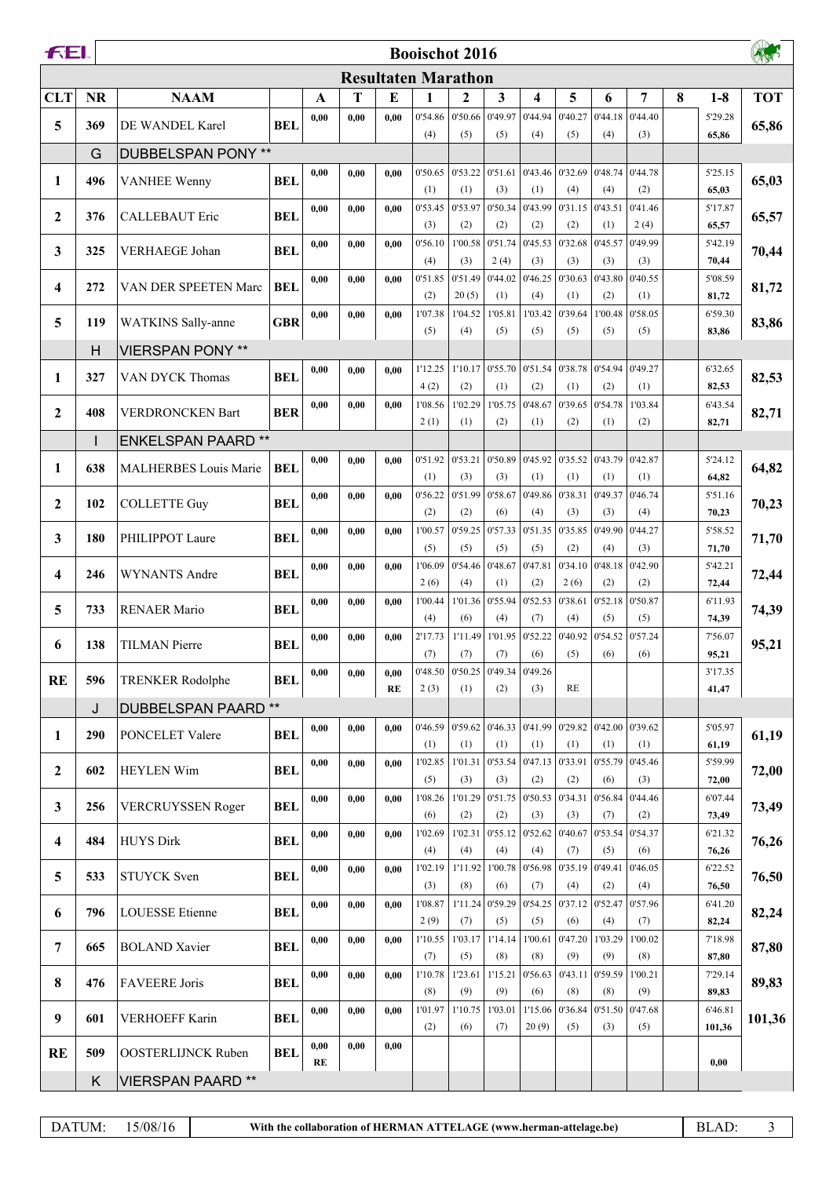| FEI.                    | <b>Booischot 2016</b> |                              |            |              |      |      |                            |                          |                 |                                       |                                                                 |                                  |                 |   |                  |            |  |  |
|-------------------------|-----------------------|------------------------------|------------|--------------|------|------|----------------------------|--------------------------|-----------------|---------------------------------------|-----------------------------------------------------------------|----------------------------------|-----------------|---|------------------|------------|--|--|
|                         |                       |                              |            |              |      |      | <b>Resultaten Marathon</b> |                          |                 |                                       |                                                                 |                                  |                 |   |                  |            |  |  |
| <b>CLT</b>              | <b>NR</b>             | <b>NAAM</b>                  |            | $\mathbf{A}$ | T    | E    | 1                          | $\mathbf{2}$             | 3               | 4                                     | 5                                                               | 6                                | 7               | 8 | $1-8$            | <b>TOT</b> |  |  |
| 5                       | 369                   | DE WANDEL Karel              | <b>BEL</b> | 0,00         | 0,00 | 0.00 | 0'54.86                    | 0'50.66                  | 0'49.97         | 0'44.94                               | 0'40.27                                                         | 0'44.18                          | 0'44.40         |   | 5'29.28          | 65,86      |  |  |
|                         | G                     | <b>DUBBELSPAN PONY **</b>    |            |              |      |      | (4)                        | (5)                      | (5)             | (4)                                   | (5)                                                             | (4)                              | (3)             |   | 65,86            |            |  |  |
|                         |                       |                              |            | 0,00         | 0,00 | 0.00 | 0'50.65                    | 0'53.22                  | 0'51.61         | 0'43.46                               | 0'32.69                                                         | 0'48.74                          | 0'44.78         |   | 5'25.15          |            |  |  |
| 1                       | 496                   | <b>VANHEE Wenny</b>          | <b>BEL</b> |              |      |      | (1)                        | (1)                      | (3)             | (1)                                   | (4)                                                             | (4)                              | (2)             |   | 65,03            | 65,03      |  |  |
| $\mathbf{2}$            | 376                   | <b>CALLEBAUT Eric</b>        | <b>BEL</b> | 0,00         | 0,00 | 0.00 | 0'53.45<br>(3)             | 0'53.97<br>(2)           | 0'50.34<br>(2)  | 0'43.99<br>(2)                        | 0'31.15<br>(2)                                                  | 0'43.51<br>(1)                   | 0'41.46<br>2(4) |   | 5'17.87          | 65,57      |  |  |
|                         |                       |                              |            | 0,00         | 0,00 | 0.00 | 0'56.10                    | 1'00.58                  | 0'51.74         | 0'45.53                               | 0'32.68                                                         | 0'45.57                          | 0'49.99         |   | 65,57<br>5'42.19 |            |  |  |
| $\mathbf{3}$            | 325                   | <b>VERHAEGE Johan</b>        | <b>BEL</b> |              |      |      | (4)                        | (3)                      | 2(4)            | (3)                                   | (3)                                                             | (3)                              | (3)             |   | 70,44            | 70,44      |  |  |
| 4                       | 272                   | VAN DER SPEETEN Marc         | <b>BEL</b> | 0,00         | 0,00 | 0.00 | 0'51.85                    | 0'51.49                  | 0'44.02         | 0'46.25                               | 0'30.63                                                         | 0'43.80                          | 0'40.55         |   | 5'08.59          | 81,72      |  |  |
|                         |                       |                              |            | 0,00         | 0,00 | 0.00 | (2)<br>1'07.38             | 20(5)<br>1'04.52         | (1)<br>1'05.81  | (4)<br>1'03.42                        | (1)<br>0'39.64                                                  | (2)<br>1'00.48                   | (1)<br>0'58.05  |   | 81,72<br>6'59.30 |            |  |  |
| 5                       | 119                   | <b>WATKINS</b> Sally-anne    | <b>GBR</b> |              |      |      | (5)                        | (4)                      | (5)             | (5)                                   | (5)                                                             | (5)                              | (5)             |   | 83,86            | 83,86      |  |  |
|                         | H                     | <b>VIERSPAN PONY **</b>      |            |              |      |      |                            |                          |                 |                                       |                                                                 |                                  |                 |   |                  |            |  |  |
| 1                       | 327                   | VAN DYCK Thomas              | <b>BEL</b> | 0,00         | 0,00 | 0,00 | 1'12.25                    | 1'10.17                  |                 |                                       | $\vert$ 0'55.70 $\vert$ 0'51.54 $\vert$ 0'38.78 $\vert$ 0'54.94 |                                  | 0'49.27         |   | 6'32.65          | 82,53      |  |  |
|                         |                       |                              |            | 0,00         | 0,00 | 0.00 | 4(2)<br>1'08.56            | (2)<br>1'02.29           | (1)<br>1'05.75  | (2)<br>0'48.67                        | (1)<br>0'39.65                                                  | (2)<br>0'54.78                   | (1)<br>1'03.84  |   | 82,53<br>6'43.54 |            |  |  |
| $\boldsymbol{2}$        | 408                   | <b>VERDRONCKEN Bart</b>      | <b>BER</b> |              |      |      | 2(1)                       | (1)                      | (2)             | (1)                                   | (2)                                                             | (1)                              | (2)             |   | 82,71            | 82,71      |  |  |
|                         | $\mathsf{I}$          | <b>ENKELSPAN PAARD**</b>     |            |              |      |      |                            |                          |                 |                                       |                                                                 |                                  |                 |   |                  |            |  |  |
| 1                       | 638                   | <b>MALHERBES Louis Marie</b> | <b>BEL</b> | 0,00         | 0,00 | 0.00 | 0'51.92                    | 0'53.21                  | 0'50.89         | 0'45.92                               | 0'35.52                                                         | 0'43.79                          | 0'42.87         |   | 5'24.12          | 64,82      |  |  |
|                         |                       |                              |            | 0,00         | 0,00 | 0.00 | (1)<br>0'56.22             | (3)<br>0'51.99           | (3)<br>0'58.67  | (1)<br>0'49.86                        | (1)<br>0'38.31                                                  | (1)<br>0'49.37                   | (1)<br>0'46.74  |   | 64,82<br>5'51.16 |            |  |  |
| $\mathbf{2}$            | 102                   | <b>COLLETTE Guy</b>          | <b>BEL</b> |              |      |      | (2)                        | (2)                      | (6)             | (4)                                   | (3)                                                             | (3)                              | (4)             |   | 70,23            | 70,23      |  |  |
| 3                       | 180                   | PHILIPPOT Laure              | <b>BEL</b> | 0,00         | 0,00 | 0,00 | 1'00.57                    | 0'59.25                  | 0'57.33         | 0'51.35                               | 0'35.85                                                         | 0'49.90                          | 0'44.27         |   | 5'58.52          | 71,70      |  |  |
|                         |                       |                              |            | 0,00         |      |      | (5)<br>1'06.09             | (5)<br>0'54.46           | (5)<br>0'48.67  | (5)<br>0'47.81                        | (2)<br>0'34.10                                                  | (4)<br>0'48.18                   | (3)<br>0'42.90  |   | 71,70<br>5'42.21 |            |  |  |
| $\overline{\mathbf{4}}$ | 246                   | <b>WYNANTS Andre</b>         | <b>BEL</b> |              | 0,00 | 0.00 | 2(6)                       | (4)                      | (1)             | (2)                                   | 2(6)                                                            | (2)                              | (2)             |   | 72,44            | 72,44      |  |  |
| 5                       | 733                   | <b>RENAER Mario</b>          | <b>BEL</b> | 0,00         | 0,00 | 0.00 | 1'00.44                    | 1'01.36                  | 0'55.94         | 0'52.53                               | 0'38.61                                                         | 0'52.18                          | 0'50.87         |   | 6'11.93          | 74,39      |  |  |
|                         |                       |                              |            |              |      |      | (4)                        | (6)                      | (4)             | (7)                                   | (4)                                                             | (5)                              | (5)             |   | 74,39            |            |  |  |
| 6                       | 138                   | <b>TILMAN</b> Pierre         | <b>BEL</b> | 0,00         | 0,00 | 0.00 | 2'17.73<br>(7)             | 1'11.49<br>(7)           | 1'01.95<br>(7)  | 0'52.22<br>(6)                        | 0'40.92<br>(5)                                                  | 0'54.52<br>(6)                   | 0'57.24<br>(6)  |   | 7'56.07<br>95,21 | 95,21      |  |  |
| <b>RE</b>               | 596                   |                              | <b>BEL</b> | 0,00         | 0,00 | 0.00 |                            |                          |                 | 0'48.50   0'50.25   0'49.34   0'49.26 |                                                                 |                                  |                 |   | 3'17.35          |            |  |  |
|                         |                       | <b>TRENKER Rodolphe</b>      |            |              |      | RE   | 2(3)                       | (1)                      | (2)             | (3)                                   | <b>RE</b>                                                       |                                  |                 |   | 41,47            |            |  |  |
|                         | J                     | DUBBELSPAN PAARD **          |            |              |      |      |                            |                          |                 |                                       |                                                                 |                                  |                 |   |                  |            |  |  |
| 1                       | 290                   | PONCELET Valere              | <b>BEL</b> | 0,00         | 0,00 | 0.00 | (1)                        | $0'46.59$ 0'59.62<br>(1) | (1)             | 0'46.33 0'41.99 <br>(1)               | (1)                                                             | $0'29.82$ 0'42.00 0'39.62<br>(1) | (1)             |   | 5'05.97<br>61,19 | 61,19      |  |  |
|                         |                       |                              |            | 0,00         | 0,00 | 0.00 | 1'02.85                    | 1'01.31                  | 0'53.54         | 0'47.13                               | 0'33.91                                                         | 0'55.79                          | 0'45.46         |   | 5'59.99          |            |  |  |
| $\mathbf{2}$            | 602                   | <b>HEYLEN Wim</b>            | <b>BEL</b> |              |      |      | (5)                        | (3)                      | (3)             | (2)                                   | (2)                                                             | (6)                              | (3)             |   | 72,00            | 72,00      |  |  |
| $\mathbf{3}$            | 256                   | VERCRUYSSEN Roger            | <b>BEL</b> | 0,00         | 0,00 | 0,00 | 1'08.26<br>(6)             | 1'01.29<br>(2)           | 0'51.75<br>(2)  | 0'50.53 <br>(3)                       | 0'34.31<br>(3)                                                  | 0'56.84<br>(7)                   | 0'44.46<br>(2)  |   | 6'07.44<br>73,49 | 73,49      |  |  |
|                         |                       |                              |            | 0,00         | 0,00 | 0,00 | 1'02.69                    | 1'02.31                  | 0'55.12         | 0'52.62                               | 0'40.67                                                         | 0'53.54                          | 0'54.37         |   | 6'21.32          |            |  |  |
| 4                       | 484                   | <b>HUYS Dirk</b>             | <b>BEL</b> |              |      |      | (4)                        | (4)                      | (4)             | (4)                                   | (7)                                                             | (5)                              | (6)             |   | 76,26            | 76,26      |  |  |
| 5                       | 533                   | <b>STUYCK</b> Sven           | <b>BEL</b> | 0,00         | 0,00 | 0.00 | 1'02.19                    | 1'11.92                  | 1'00.78         | 0'56.98                               | 0'35.19                                                         | 0'49.41                          | 0'46.05         |   | 6'22.52          | 76,50      |  |  |
|                         |                       |                              |            | 0,00         | 0,00 | 0.00 | (3)<br>1'08.87             | (8)<br>1'11.24           | (6)<br> 0'59.29 | (7)<br>0'54.25                        | (4)<br>0'37.12                                                  | (2)<br>0'52.47                   | (4)<br>0'57.96  |   | 76,50<br>6'41.20 |            |  |  |
| 6                       | 796                   | <b>LOUESSE</b> Etienne       | <b>BEL</b> |              |      |      | 2(9)                       | (7)                      | (5)             | (5)                                   | (6)                                                             | (4)                              | (7)             |   | 82,24            | 82,24      |  |  |
| $\overline{7}$          | 665                   | <b>BOLAND</b> Xavier         | <b>BEL</b> | 0,00         | 0,00 | 0.00 | 1'10.55                    | 1'03.17                  | 1'14.14         | 1'00.61                               | 0'47.20                                                         | 1'03.29                          | 1'00.02         |   | 7'18.98          | 87,80      |  |  |
|                         |                       |                              |            | 0,00         | 0,00 | 0,00 | (7)<br>1'10.78             | (5)<br>1'23.61           | (8)<br>1'15.21  | (8)<br>0'56.63                        | (9)<br>0'43.11                                                  | (9)<br>0'59.59                   | (8)<br>1'00.21  |   | 87,80<br>7'29.14 |            |  |  |
| 8                       | 476                   | <b>FAVEERE</b> Joris         | <b>BEL</b> |              |      |      | (8)                        | (9)                      | (9)             | (6)                                   | (8)                                                             | (8)                              | (9)             |   | 89,83            | 89,83      |  |  |
| 9                       | 601                   | <b>VERHOEFF Karin</b>        | <b>BEL</b> | 0,00         | 0,00 | 0,00 | 1'01.97                    | 1'10.75                  | 1'03.01         | 1'15.06                               | 0'36.84                                                         | 0'51.50                          | 0'47.68         |   | 6'46.81          | 101,36     |  |  |
|                         |                       |                              |            |              |      |      | (2)                        | (6)                      | (7)             | 20(9)                                 | (5)                                                             | (3)                              | (5)             |   | 101,36           |            |  |  |
| <b>RE</b>               | 509                   | <b>OOSTERLIJNCK Ruben</b>    | <b>BEL</b> | 0,00<br>RE   | 0,00 | 0,00 |                            |                          |                 |                                       |                                                                 |                                  |                 |   | 0,00             |            |  |  |
|                         | K                     | <b>VIERSPAN PAARD**</b>      |            |              |      |      |                            |                          |                 |                                       |                                                                 |                                  |                 |   |                  |            |  |  |